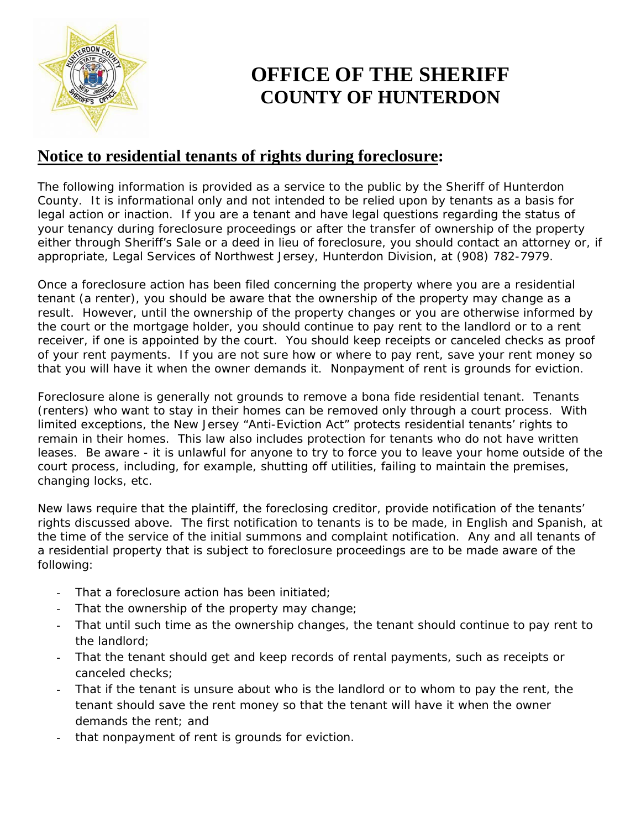

## **OFFICE OF THE SHERIFF COUNTY OF HUNTERDON**

## **Notice to residential tenants of rights during foreclosure:**

The following information is provided as a service to the public by the Sheriff of Hunterdon County. It is informational only and not intended to be relied upon by tenants as a basis for legal action or inaction. If you are a tenant and have legal questions regarding the status of your tenancy during foreclosure proceedings or after the transfer of ownership of the property either through Sheriff's Sale or a deed in lieu of foreclosure, you should contact an attorney or, if appropriate, Legal Services of Northwest Jersey, Hunterdon Division, at (908) 782-7979.

Once a foreclosure action has been filed concerning the property where you are a residential tenant (a renter), you should be aware that the ownership of the property may change as a result. However, until the ownership of the property changes or you are otherwise informed by the court or the mortgage holder, you should continue to pay rent to the landlord or to a rent receiver, if one is appointed by the court. You should keep receipts or canceled checks as proof of your rent payments. If you are not sure how or where to pay rent, save your rent money so that you will have it when the owner demands it. Nonpayment of rent is grounds for eviction.

Foreclosure alone is generally not grounds to remove a bona fide residential tenant. Tenants (renters) who want to stay in their homes can be removed only through a court process. With limited exceptions, the New Jersey "Anti-Eviction Act" protects residential tenants' rights to remain in their homes. This law also includes protection for tenants who do not have written leases. Be aware - it is unlawful for anyone to try to force you to leave your home outside of the court process, including, for example, shutting off utilities, failing to maintain the premises, changing locks, etc.

New laws require that the plaintiff, the foreclosing creditor, provide notification of the tenants' rights discussed above. The first notification to tenants is to be made, in English and Spanish, at the time of the service of the initial summons and complaint notification. Any and all tenants of a residential property that is subject to foreclosure proceedings are to be made aware of the following:

- That a foreclosure action has been initiated;
- That the ownership of the property may change;
- That until such time as the ownership changes, the tenant should continue to pay rent to the landlord;
- That the tenant should get and keep records of rental payments, such as receipts or canceled checks;
- That if the tenant is unsure about who is the landlord or to whom to pay the rent, the tenant should save the rent money so that the tenant will have it when the owner demands the rent; and
- that nonpayment of rent is grounds for eviction.